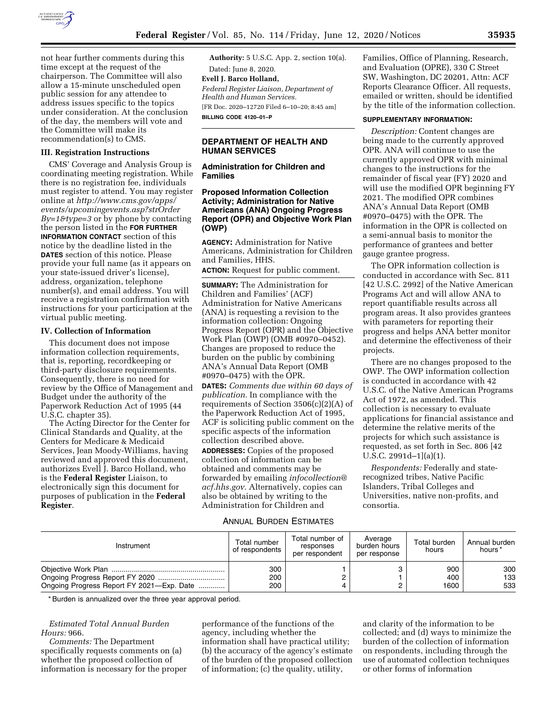

not hear further comments during this time except at the request of the chairperson. The Committee will also allow a 15-minute unscheduled open public session for any attendee to address issues specific to the topics under consideration. At the conclusion of the day, the members will vote and the Committee will make its recommendation(s) to CMS.

#### **III. Registration Instructions**

CMS' Coverage and Analysis Group is coordinating meeting registration. While there is no registration fee, individuals must register to attend. You may register online at *[http://www.cms.gov/apps/](http://www.cms.gov/apps/events/upcomingevents.asp?strOrderBy=1&type=3)  [events/upcomingevents.asp?strOrder](http://www.cms.gov/apps/events/upcomingevents.asp?strOrderBy=1&type=3) [By=1&type=3](http://www.cms.gov/apps/events/upcomingevents.asp?strOrderBy=1&type=3)* or by phone by contacting the person listed in the **FOR FURTHER INFORMATION CONTACT** section of this notice by the deadline listed in the **DATES** section of this notice. Please provide your full name (as it appears on your state-issued driver's license), address, organization, telephone number(s), and email address. You will receive a registration confirmation with instructions for your participation at the virtual public meeting.

### **IV. Collection of Information**

This document does not impose information collection requirements, that is, reporting, recordkeeping or third-party disclosure requirements. Consequently, there is no need for review by the Office of Management and Budget under the authority of the Paperwork Reduction Act of 1995 (44 U.S.C. chapter 35).

The Acting Director for the Center for Clinical Standards and Quality, at the Centers for Medicare & Medicaid Services, Jean Moody-Williams, having reviewed and approved this document, authorizes Evell J. Barco Holland, who is the **Federal Register** Liaison, to electronically sign this document for purposes of publication in the **Federal Register**.

**Authority:** 5 U.S.C. App. 2, section 10(a).

### Dated: June 8, 2020. **Evell J. Barco Holland,**

*Federal Register Liaison, Department of Health and Human Services.*  [FR Doc. 2020–12720 Filed 6–10–20; 8:45 am]

**BILLING CODE 4120–01–P** 

# **DEPARTMENT OF HEALTH AND HUMAN SERVICES**

**Administration for Children and Families** 

# **Proposed Information Collection Activity; Administration for Native Americans (ANA) Ongoing Progress Report (OPR) and Objective Work Plan (OWP)**

**AGENCY:** Administration for Native Americans, Administration for Children and Families, HHS.

**ACTION:** Request for public comment.

**SUMMARY:** The Administration for Children and Families' (ACF) Administration for Native Americans (ANA) is requesting a revision to the information collection: Ongoing Progress Report (OPR) and the Objective Work Plan (OWP) (OMB #0970–0452). Changes are proposed to reduce the burden on the public by combining ANA's Annual Data Report (OMB #0970–0475) with the OPR.

**DATES:** *Comments due within 60 days of publication.* In compliance with the requirements of Section 3506(c)(2)(A) of the Paperwork Reduction Act of 1995, ACF is soliciting public comment on the specific aspects of the information collection described above. **ADDRESSES:** Copies of the proposed collection of information can be obtained and comments may be forwarded by emailing *[infocollection@](mailto:infocollection@acf.hhs.gov) [acf.hhs.gov.](mailto:infocollection@acf.hhs.gov)* Alternatively, copies can also be obtained by writing to the Administration for Children and

### ANNUAL BURDEN ESTIMATES

Families, Office of Planning, Research, and Evaluation (OPRE), 330 C Street SW, Washington, DC 20201, Attn: ACF Reports Clearance Officer. All requests, emailed or written, should be identified by the title of the information collection.

### **SUPPLEMENTARY INFORMATION:**

*Description:* Content changes are being made to the currently approved OPR. ANA will continue to use the currently approved OPR with minimal changes to the instructions for the remainder of fiscal year (FY) 2020 and will use the modified OPR beginning FY 2021. The modified OPR combines ANA's Annual Data Report (OMB #0970–0475) with the OPR. The information in the OPR is collected on a semi-annual basis to monitor the performance of grantees and better gauge grantee progress.

The OPR information collection is conducted in accordance with Sec. 811 [42 U.S.C. 2992] of the Native American Programs Act and will allow ANA to report quantifiable results across all program areas. It also provides grantees with parameters for reporting their progress and helps ANA better monitor and determine the effectiveness of their projects.

There are no changes proposed to the OWP. The OWP information collection is conducted in accordance with 42 U.S.C. of the Native American Programs Act of 1972, as amended. This collection is necessary to evaluate applications for financial assistance and determine the relative merits of the projects for which such assistance is requested, as set forth in Sec. 806 [42 U.S.C. 2991d–1](a)(1).

*Respondents:* Federally and staterecognized tribes, Native Pacific Islanders, Tribal Colleges and Universities, native non-profits, and consortia.

| Instrument                                | Total number<br>of respondents | Total number of<br>responses<br>per respondent | Average<br>burden hours<br>per response | Total burden<br>hours | Annual burden<br>hours * |
|-------------------------------------------|--------------------------------|------------------------------------------------|-----------------------------------------|-----------------------|--------------------------|
| Ongoing Progress Report FY 2021-Exp. Date | 300<br>200<br>200              |                                                |                                         | 900<br>400<br>1600    | 300<br>133<br>533        |

\* Burden is annualized over the three year approval period.

*Estimated Total Annual Burden Hours:* 966.

*Comments:* The Department specifically requests comments on (a) whether the proposed collection of information is necessary for the proper performance of the functions of the agency, including whether the information shall have practical utility; (b) the accuracy of the agency's estimate of the burden of the proposed collection of information; (c) the quality, utility,

and clarity of the information to be collected; and (d) ways to minimize the burden of the collection of information on respondents, including through the use of automated collection techniques or other forms of information